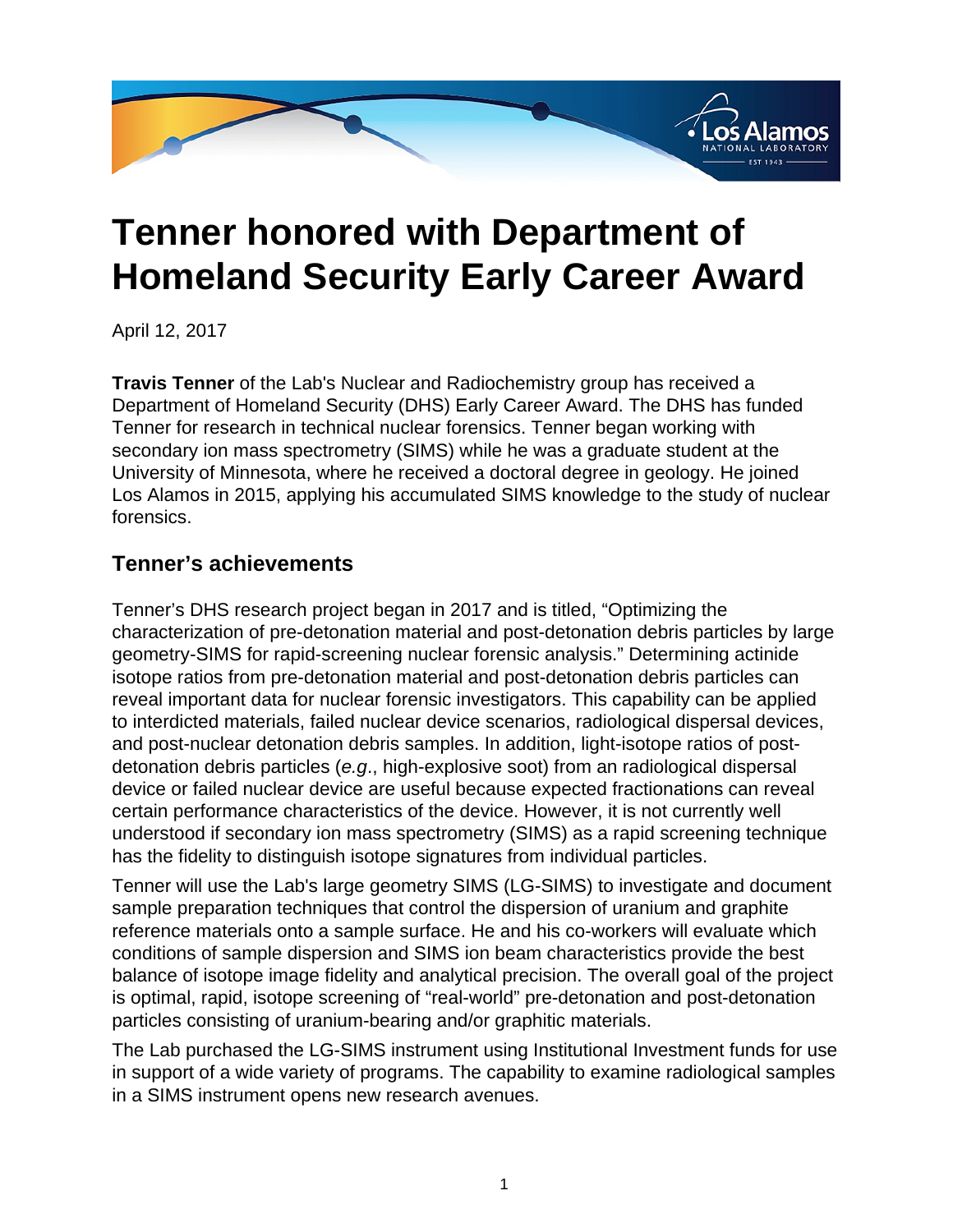

## **Tenner honored with Department of Homeland Security Early Career Award**

April 12, 2017

**Travis Tenner** of the Lab's Nuclear and Radiochemistry group has received a Department of Homeland Security (DHS) Early Career Award. The DHS has funded Tenner for research in technical nuclear forensics. Tenner began working with secondary ion mass spectrometry (SIMS) while he was a graduate student at the University of Minnesota, where he received a doctoral degree in geology. He joined Los Alamos in 2015, applying his accumulated SIMS knowledge to the study of nuclear forensics.

## **Tenner's achievements**

Tenner's DHS research project began in 2017 and is titled, "Optimizing the characterization of pre-detonation material and post-detonation debris particles by large geometry-SIMS for rapid-screening nuclear forensic analysis." Determining actinide isotope ratios from pre-detonation material and post-detonation debris particles can reveal important data for nuclear forensic investigators. This capability can be applied to interdicted materials, failed nuclear device scenarios, radiological dispersal devices, and post-nuclear detonation debris samples. In addition, light-isotope ratios of postdetonation debris particles (e.g., high-explosive soot) from an radiological dispersal device or failed nuclear device are useful because expected fractionations can reveal certain performance characteristics of the device. However, it is not currently well understood if secondary ion mass spectrometry (SIMS) as a rapid screening technique has the fidelity to distinguish isotope signatures from individual particles.

Tenner will use the Lab's large geometry SIMS (LG-SIMS) to investigate and document sample preparation techniques that control the dispersion of uranium and graphite reference materials onto a sample surface. He and his co-workers will evaluate which conditions of sample dispersion and SIMS ion beam characteristics provide the best balance of isotope image fidelity and analytical precision. The overall goal of the project is optimal, rapid, isotope screening of "real-world" pre-detonation and post-detonation particles consisting of uranium-bearing and/or graphitic materials.

The Lab purchased the LG-SIMS instrument using Institutional Investment funds for use in support of a wide variety of programs. The capability to examine radiological samples in a SIMS instrument opens new research avenues.